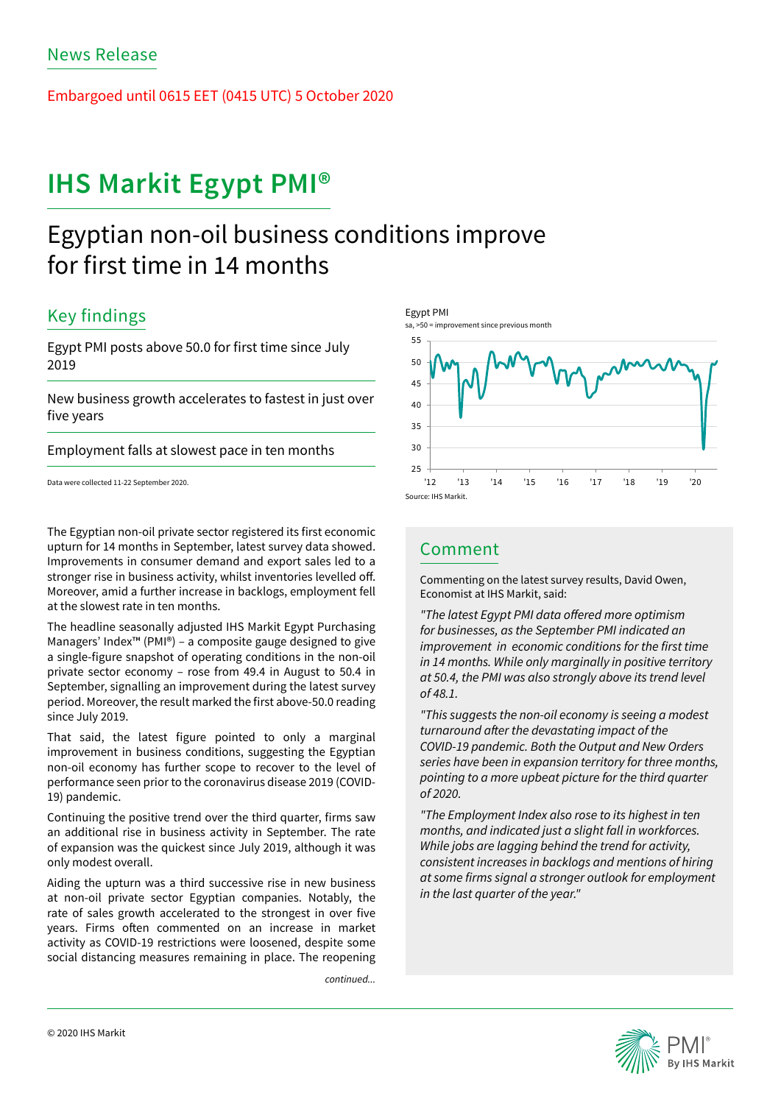Embargoed until 0615 EET (0415 UTC) 5 October 2020

# **IHS Markit Egypt PMI®**

# Egyptian non-oil business conditions improve for first time in 14 months

## Key findings

Egypt PMI posts above 50.0 for first time since July 2019

New business growth accelerates to fastest in just over five years

Employment falls at slowest pace in ten months

Data were collected 11-22 September 2020.

The Egyptian non-oil private sector registered its first economic upturn for 14 months in September, latest survey data showed. Improvements in consumer demand and export sales led to a stronger rise in business activity, whilst inventories levelled off. Moreover, amid a further increase in backlogs, employment fell at the slowest rate in ten months.

The headline seasonally adjusted IHS Markit Egypt Purchasing Managers' Index™ (PMI®) – a composite gauge designed to give a single-figure snapshot of operating conditions in the non-oil private sector economy – rose from 49.4 in August to 50.4 in September, signalling an improvement during the latest survey period. Moreover, the result marked the first above-50.0 reading since July 2019.

That said, the latest figure pointed to only a marginal improvement in business conditions, suggesting the Egyptian non-oil economy has further scope to recover to the level of performance seen prior to the coronavirus disease 2019 (COVID-19) pandemic.

Continuing the positive trend over the third quarter, firms saw an additional rise in business activity in September. The rate of expansion was the quickest since July 2019, although it was only modest overall.

Aiding the upturn was a third successive rise in new business at non-oil private sector Egyptian companies. Notably, the rate of sales growth accelerated to the strongest in over five years. Firms often commented on an increase in market activity as COVID-19 restrictions were loosened, despite some social distancing measures remaining in place. The reopening

*continued...*



## Comment

Commenting on the latest survey results, David Owen, Economist at IHS Markit, said:

"The latest Egypt PMI data offered more optimism for businesses, as the September PMI indicated an improvement in economic conditions for the first time in 14 months. While only marginally in positive territory at 50.4, the PMI was also strongly above its trend level *of 48.1.* 

"This suggests the non-oil economy is seeing a modest turnaround after the devastating impact of the COVID-19 pandemic. Both the Output and New Orders series have been in expansion territory for three months, pointing to a more upbeat picture for the third quarter *of 2020.* 

"The Employment Index also rose to its highest in ten months, and indicated just a slight fall in workforces. While jobs are lagging behind the trend for activity, consistent increases in backlogs and mentions of hiring at some firms signal a stronger outlook for employment in the last quarter of the year."